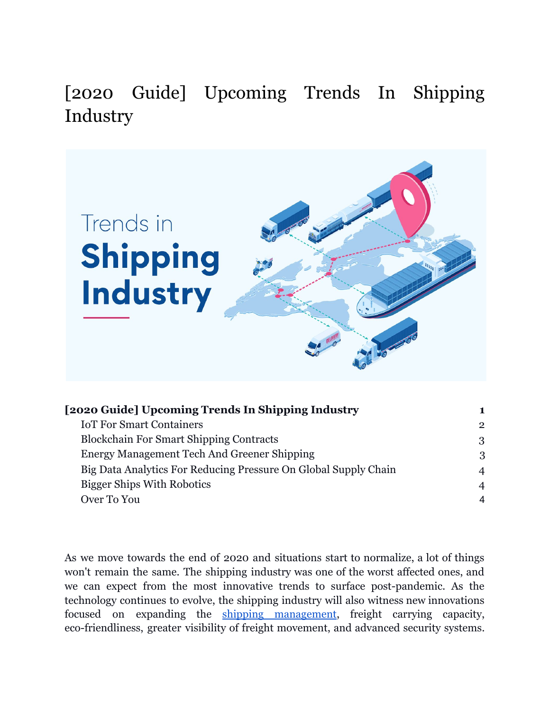<span id="page-0-0"></span>[2020 Guide] Upcoming Trends In Shipping Industry



| [2020 Guide] Upcoming Trends In Shipping Industry               |                |
|-----------------------------------------------------------------|----------------|
| <b>IoT For Smart Containers</b>                                 | $\overline{2}$ |
| <b>Blockchain For Smart Shipping Contracts</b>                  | 3              |
| Energy Management Tech And Greener Shipping                     | 3              |
| Big Data Analytics For Reducing Pressure On Global Supply Chain | $\overline{4}$ |
| <b>Bigger Ships With Robotics</b>                               | $\overline{4}$ |
| Over To You                                                     | 4              |
|                                                                 |                |

As we move towards the end of 2020 and situations start to normalize, a lot of things won't remain the same. The shipping industry was one of the worst affected ones, and we can expect from the most innovative trends to surface post-pandemic. As the technology continues to evolve, the shipping industry will also witness new innovations focused on expanding the shipping [management,](https://www.orderhive.com/shipping-management.html?utm_source=Neel&utm_medium=Blog&utm_campaign=Trends%20In%20Shipping) freight carrying capacity, eco-friendliness, greater visibility of freight movement, and advanced security systems.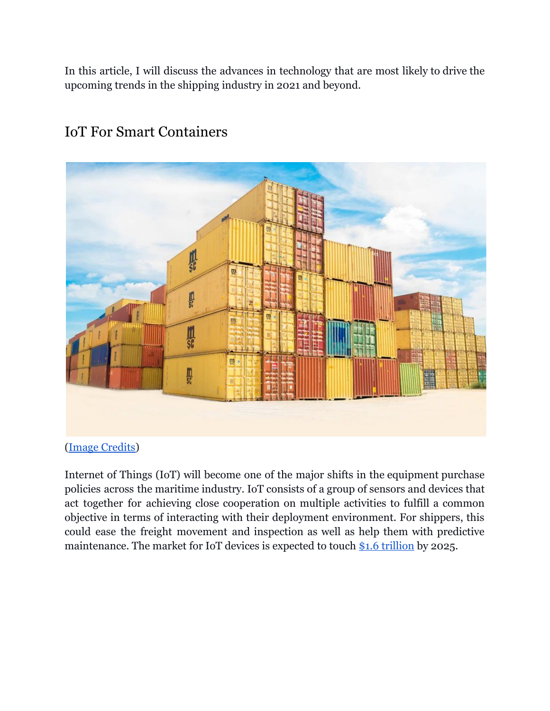In this article, I will discuss the advances in technology that are most likely to drive the upcoming trends in the shipping industry in 2021 and beyond.



### <span id="page-1-0"></span>IoT For Smart Containers

[\(Image Credits\)](https://unsplash.com/photos/tjX_sniNzgQ)

Internet of Things (IoT) will become one of the major shifts in the equipment purchase policies across the maritime industry. IoT consists of a group of sensors and devices that act together for achieving close cooperation on multiple activities to fulfill a common objective in terms of interacting with their deployment environment. For shippers, this could ease the freight movement and inspection as well as help them with predictive maintenance. The market for IoT devices is expected to touch [\\$1.6 trillion](https://www.statista.com/statistics/976313/global-iot-market-size/) by 2025.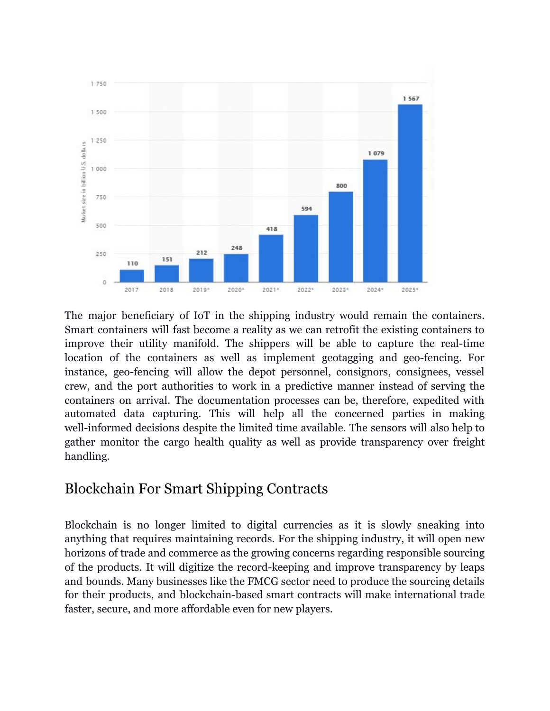

The major beneficiary of IoT in the shipping industry would remain the containers. Smart containers will fast become a reality as we can retrofit the existing containers to improve their utility manifold. The shippers will be able to capture the real-time location of the containers as well as implement geotagging and geo-fencing. For instance, geo-fencing will allow the depot personnel, consignors, consignees, vessel crew, and the port authorities to work in a predictive manner instead of serving the containers on arrival. The documentation processes can be, therefore, expedited with automated data capturing. This will help all the concerned parties in making well-informed decisions despite the limited time available. The sensors will also help to gather monitor the cargo health quality as well as provide transparency over freight handling.

#### <span id="page-2-0"></span>Blockchain For Smart Shipping Contracts

Blockchain is no longer limited to digital currencies as it is slowly sneaking into anything that requires maintaining records. For the shipping industry, it will open new horizons of trade and commerce as the growing concerns regarding responsible sourcing of the products. It will digitize the record-keeping and improve transparency by leaps and bounds. Many businesses like the FMCG sector need to produce the sourcing details for their products, and blockchain-based smart contracts will make international trade faster, secure, and more affordable even for new players.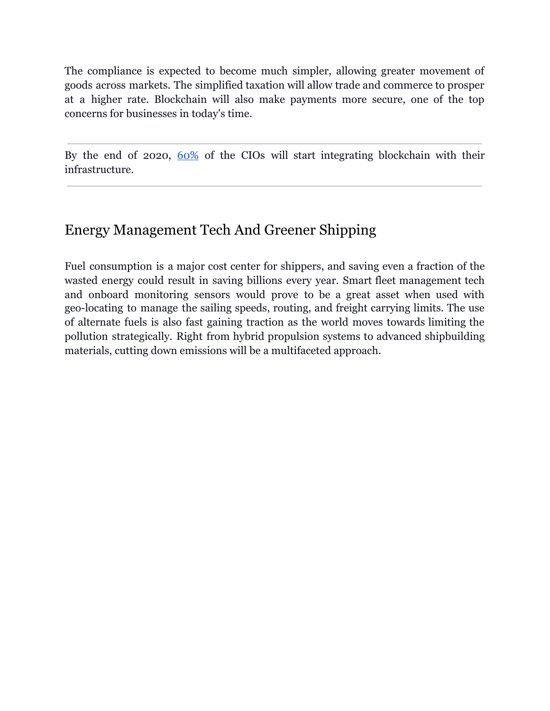The compliance is expected to become much simpler, allowing greater movement of goods across markets. The simplified taxation will allow trade and commerce to prosper at a higher rate. Blockchain will also make payments more secure, one of the top concerns for businesses in today's time.

By the end of 2020, [60%](https://techjury.net/blog/blockchain-statistics/#gref) of the CIOs will start integrating blockchain with their infrastructure.

# <span id="page-3-0"></span>Energy Management Tech And Greener Shipping

Fuel consumption is a major cost center for shippers, and saving even a fraction of the wasted energy could result in saving billions every year. Smart fleet management tech and onboard monitoring sensors would prove to be a great asset when used with geo-locating to manage the sailing speeds, routing, and freight carrying limits. The use of alternate fuels is also fast gaining traction as the world moves towards limiting the pollution strategically. Right from hybrid propulsion systems to advanced shipbuilding materials, cutting down emissions will be a multifaceted approach.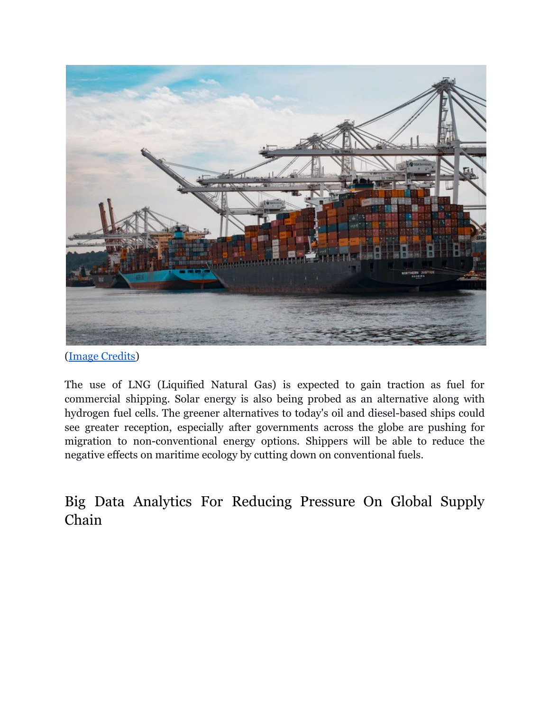

[\(Image Credits\)](https://unsplash.com/photos/CpsTAUPoScw)

The use of LNG (Liquified Natural Gas) is expected to gain traction as fuel for commercial shipping. Solar energy is also being probed as an alternative along with hydrogen fuel cells. The greener alternatives to today's oil and diesel-based ships could see greater reception, especially after governments across the globe are pushing for migration to non-conventional energy options. Shippers will be able to reduce the negative effects on maritime ecology by cutting down on conventional fuels.

<span id="page-4-0"></span>Big Data Analytics For Reducing Pressure On Global Supply Chain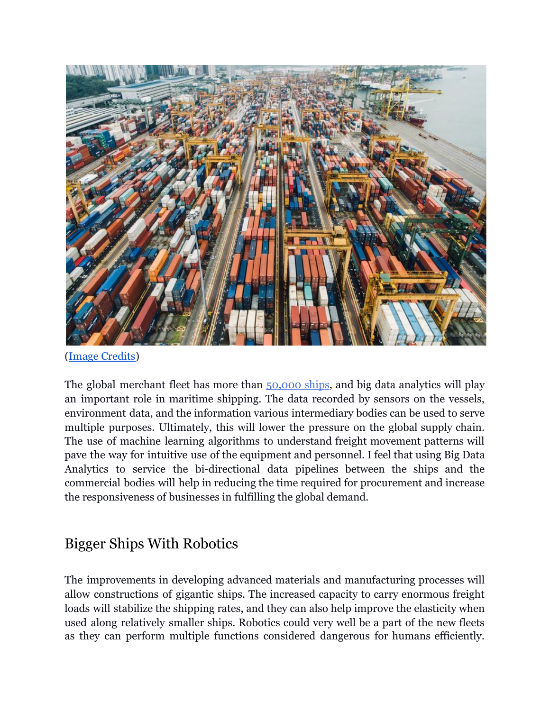

[\(Image Credits\)](https://unsplash.com/photos/fN603qcEA7g)

The global merchant fleet has more than [50,000](https://www.statista.com/statistics/264024/number-of-merchant-ships-worldwide-by-type/) ships, and big data analytics will play an important role in maritime shipping. The data recorded by sensors on the vessels, environment data, and the information various intermediary bodies can be used to serve multiple purposes. Ultimately, this will lower the pressure on the global supply chain. The use of machine learning algorithms to understand freight movement patterns will pave the way for intuitive use of the equipment and personnel. I feel that using Big Data Analytics to service the bi-directional data pipelines between the ships and the commercial bodies will help in reducing the time required for procurement and increase the responsiveness of businesses in fulfilling the global demand.

## <span id="page-5-0"></span>Bigger Ships With Robotics

The improvements in developing advanced materials and manufacturing processes will allow constructions of gigantic ships. The increased capacity to carry enormous freight loads will stabilize the shipping rates, and they can also help improve the elasticity when used along relatively smaller ships. Robotics could very well be a part of the new fleets as they can perform multiple functions considered dangerous for humans efficiently.